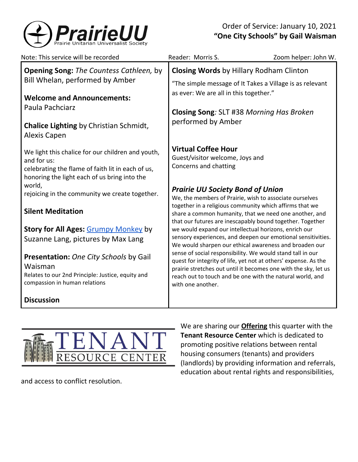

# Order of Service: January 10, 2021 **"One City Schools" by Gail Waisman**

| Note: This service will be recorded                                                                                                                                                                                   | Zoom helper: John W.<br>Reader: Morris S.                                                                                                                                                                                                                                                                                                                                                                                                                                                                                                                                                    |
|-----------------------------------------------------------------------------------------------------------------------------------------------------------------------------------------------------------------------|----------------------------------------------------------------------------------------------------------------------------------------------------------------------------------------------------------------------------------------------------------------------------------------------------------------------------------------------------------------------------------------------------------------------------------------------------------------------------------------------------------------------------------------------------------------------------------------------|
| <b>Opening Song: The Countess Cathleen, by</b><br>Bill Whelan, performed by Amber                                                                                                                                     | <b>Closing Words by Hillary Rodham Clinton</b><br>"The simple message of It Takes a Village is as relevant<br>as ever: We are all in this together."<br><b>Closing Song: SLT #38 Morning Has Broken</b><br>performed by Amber                                                                                                                                                                                                                                                                                                                                                                |
| <b>Welcome and Announcements:</b><br>Paula Pachciarz<br><b>Chalice Lighting by Christian Schmidt,</b><br><b>Alexis Capen</b>                                                                                          |                                                                                                                                                                                                                                                                                                                                                                                                                                                                                                                                                                                              |
| We light this chalice for our children and youth,<br>and for us:<br>celebrating the flame of faith lit in each of us,<br>honoring the light each of us bring into the                                                 | <b>Virtual Coffee Hour</b><br>Guest/visitor welcome, Joys and<br>Concerns and chatting                                                                                                                                                                                                                                                                                                                                                                                                                                                                                                       |
| world,<br>rejoicing in the community we create together.<br><b>Silent Meditation</b>                                                                                                                                  | <b>Prairie UU Society Bond of Union</b><br>We, the members of Prairie, wish to associate ourselves<br>together in a religious community which affirms that we                                                                                                                                                                                                                                                                                                                                                                                                                                |
| Story for All Ages: Grumpy Monkey by<br>Suzanne Lang, pictures by Max Lang<br>Presentation: One City Schools by Gail<br>Waisman<br>Relates to our 2nd Principle: Justice, equity and<br>compassion in human relations | share a common humanity, that we need one another, and<br>that our futures are inescapably bound together. Together<br>we would expand our intellectual horizons, enrich our<br>sensory experiences, and deepen our emotional sensitivities.<br>We would sharpen our ethical awareness and broaden our<br>sense of social responsibility. We would stand tall in our<br>quest for integrity of life, yet not at others' expense. As the<br>prairie stretches out until it becomes one with the sky, let us<br>reach out to touch and be one with the natural world, and<br>with one another. |
| <b>Discussion</b>                                                                                                                                                                                                     |                                                                                                                                                                                                                                                                                                                                                                                                                                                                                                                                                                                              |



and access to conflict resolution.

We are sharing our **[Offering](https://www.paypal.com/cgi-bin/webscr?cmd=_s-xclick&hosted_button_id=T3LVLF6FD6LPE&source=url)** this quarter with the **Tenant Resource Center** which is dedicated to promoting positive relations between rental housing consumers (tenants) and providers (landlords) by providing information and referrals, education about rental rights and responsibilities,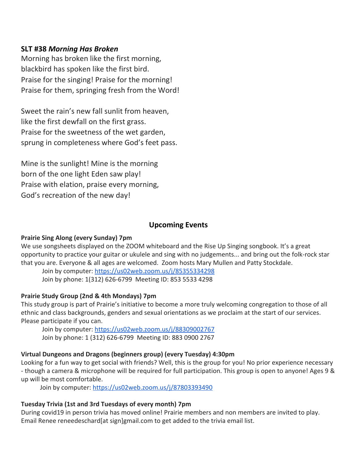# **SLT #38** *Morning Has Broken*

Morning has broken like the first morning, blackbird has spoken like the first bird. Praise for the singing! Praise for the morning! Praise for them, springing fresh from the Word!

Sweet the rain's new fall sunlit from heaven, like the first dewfall on the first grass. Praise for the sweetness of the wet garden, sprung in completeness where God's feet pass.

Mine is the sunlight! Mine is the morning born of the one light Eden saw play! Praise with elation, praise every morning, God's recreation of the new day!

# **Upcoming Events**

#### **Prairie Sing Along (every Sunday) 7pm**

We use songsheets displayed on the ZOOM whiteboard and the Rise Up Singing songbook. It's a great opportunity to practice your guitar or ukulele and sing with no judgements... and bring out the folk-rock star that you are. Everyone & all ages are welcomed. Zoom hosts Mary Mullen and Patty Stockdale.

[Join by computer](https://us02web.zoom.us/j/85355334298):<https://us02web.zoom.us/j/85355334298> Join by phone: 1(312) 626-6799 Meeting ID: 853 5533 4298

#### **Prairie Study Group (2nd & 4th Mondays) 7pm**

This study group is part of Prairie's initiative to become a more truly welcoming congregation to those of all ethnic and class backgrounds, genders and sexual orientations as we proclaim at the start of our services. Please participate if you can.

Join by computer: <https://us02web.zoom.us/j/88309002767> Join by phone: 1 (312) 626-6799 Meeting ID: 883 0900 2767

# **Virtual Dungeons and Dragons (beginners group) (every Tuesday) 4:30pm**

Looking for a fun way to get social with friends? Well, this is the group for you! No prior experience necessary - though a camera & microphone will be required for full participation. This group is open to anyone! Ages 9 & up will be most comfortable.

Join by computer: <https://us02web.zoom.us/j/87803393490>

# **Tuesday Trivia (1st and 3rd Tuesdays of every month) 7pm**

During covid19 in person trivia has moved online! Prairie members and non members are invited to play. Email Renee reneedeschard[at sign]gmail.com to get added to the trivia email list.